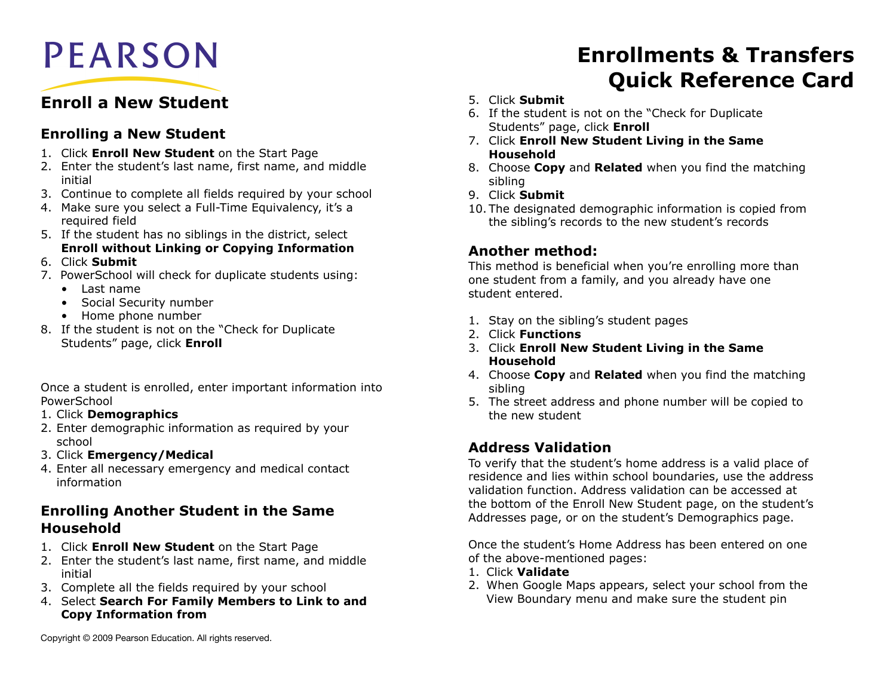

# **Enroll a New Student**

#### **Enrolling a New Student**

- 1. Click **Enroll New Student** on the Start Page
- 2. Enter the student's last name, first name, and middle initial
- 3. Continue to complete all fields required by your school
- 4. Make sure you select a Full-Time Equivalency, it's a required field
- 5. If the student has no siblings in the district, select **Enroll without Linking or Copying Information**
- 6. Click **Submit**
- 7. PowerSchool will check for duplicate students using:
	- Last name
	- Social Security number
	- Home phone number
- 8. If the student is not on the "Check for Duplicate Students" page, click **Enroll**

Once a student is enrolled, enter important information into PowerSchool

- 1. Click **Demographics**
- 2. Enter demographic information as required by your school
- 3. Click **Emergency/Medical**
- 4. Enter all necessary emergency and medical contact information

#### **Enrolling Another Student in the Same Household**

- 1. Click **Enroll New Student** on the Start Page
- 2. Enter the student's last name, first name, and middle initial
- 3. Complete all the fields required by your school
- 4. Select **Search For Family Members to Link to and Copy Information from**
- 5. Click **Submit**
- 6. If the student is not on the "Check for Duplicate Students" page, click **Enroll**
- 7. Click **Enroll New Student Living in the Same Household**
- 8. Choose **Copy** and **Related** when you find the matching sibling
- 9. Click **Submit**
- 10. The designated demographic information is copied from the sibling's records to the new student's records

### **Another method:**

This method is beneficial when you're enrolling more than one student from a family, and you already have one student entered.

- 1. Stay on the sibling's student pages
- 2. Click **Functions**
- 3. Click **Enroll New Student Living in the Same Household**
- 4. Choose **Copy** and **Related** when you find the matching sibling
- 5. The street address and phone number will be copied to the new student

## **Address Validation**

To verify that the student's home address is a valid place of residence and lies within school boundaries, use the address validation function. Address validation can be accessed at the bottom of the Enroll New Student page, on the student's Addresses page, or on the student's Demographics page.

Once the student's Home Address has been entered on one of the above-mentioned pages:

- 1. Click **Validate**
- 2. When Google Maps appears, select your school from the View Boundary menu and make sure the student pin